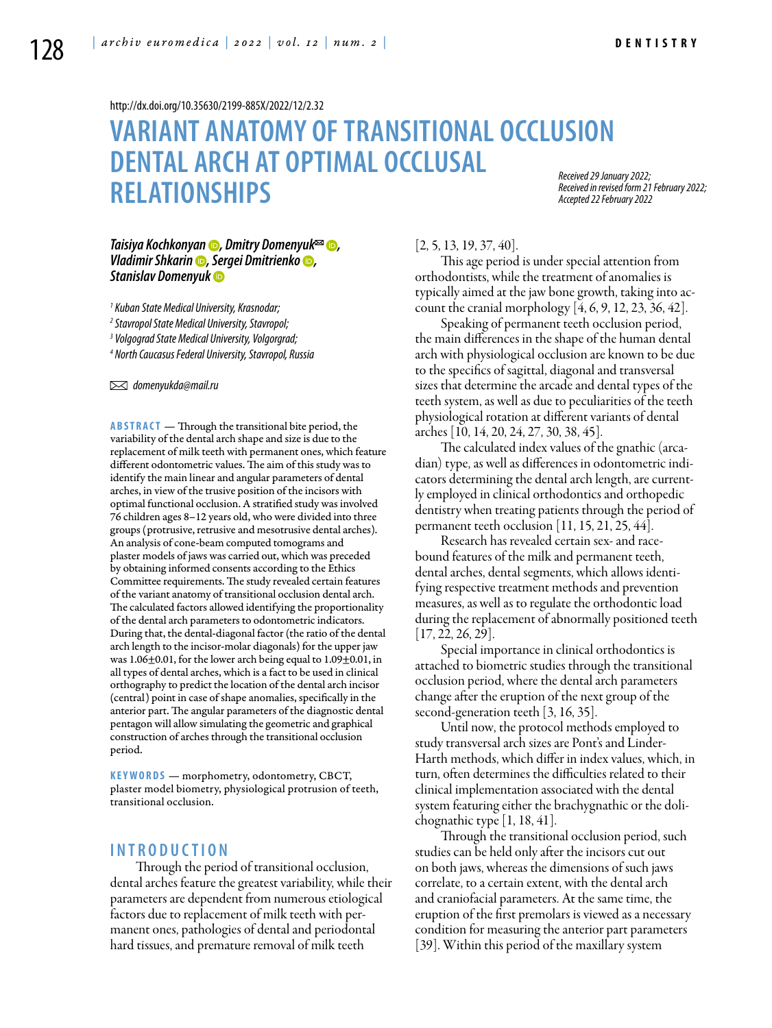<http://dx.doi.org/10.35630/2199-885X/2022/12/2.32>

# **VARIANT ANATOMY OF TRANSITIONAL OCCLUSION DENTAL ARCH AT OPTIMAL OCCLUSAL RELATIONSHIPS**

*Received 29 January 2022; Received in revised form 21 February 2022; Accepted 22 February 2022*

## *[Taisiya Kochkonyan](https://orcid.org/0000-0003-1613-3425)* **●**, [Dmitry Domenyuk](https://orcid.org/0000-0003-4022-5020)<sup>⊠</sup> ●, *[Vladimir Shkarin](https://orcid.org/0000-0001-7158-0282) , [Sergei Dmitrienko](https://orcid.org/0000-0001-6955-2872) , [Stanislav Domenyuk](https://orcid.org/0000-0001-5239-4601)*

*1 Kuban State Medical University, Krasnodar;* 

*2 Stavropol State Medical University, Stavropol;*

*3 Volgograd State Medical University, Volgorgrad;*

*4 North Caucasus Federal University, Stavropol, Russia* 

 *domenyukda@mail.ru* 

**Abstract** — Through the transitional bite period, the variability of the dental arch shape and size is due to the replacement of milk teeth with permanent ones, which feature different odontometric values. The aim of this study was to identify the main linear and angular parameters of dental arches, in view of the trusive position of the incisors with optimal functional occlusion. A stratified study was involved 76 children ages 8–12 years old, who were divided into three groups (protrusive, retrusive and mesotrusive dental arches). An analysis of cone-beam computed tomograms and plaster models of jaws was carried out, which was preceded by obtaining informed consents according to the Ethics Committee requirements. The study revealed certain features of the variant anatomy of transitional occlusion dental arch. The calculated factors allowed identifying the proportionality of the dental arch parameters to odontometric indicators. During that, the dental-diagonal factor (the ratio of the dental arch length to the incisor-molar diagonals) for the upper jaw was 1.06±0.01, for the lower arch being equal to 1.09±0.01, in all types of dental arches, which is a fact to be used in clinical orthography to predict the location of the dental arch incisor (central) point in case of shape anomalies, specifically in the anterior part. The angular parameters of the diagnostic dental pentagon will allow simulating the geometric and graphical construction of arches through the transitional occlusion period.

**K eywords** — morphometry, odontometry, CBCT, plaster model biometry, physiological protrusion of teeth, transitional occlusion.

# **I n t r o ducti o n**

Through the period of transitional occlusion, dental arches feature the greatest variability, while their parameters are dependent from numerous etiological factors due to replacement of milk teeth with permanent ones, pathologies of dental and periodontal hard tissues, and premature removal of milk teeth

### $[2, 5, 13, 19, 37, 40].$

This age period is under special attention from orthodontists, while the treatment of anomalies is typically aimed at the jaw bone growth, taking into account the cranial morphology [4, 6, 9, 12, 23, 36, 42].

Speaking of permanent teeth occlusion period, the main differences in the shape of the human dental arch with physiological occlusion are known to be due to the specifics of sagittal, diagonal and transversal sizes that determine the arcade and dental types of the teeth system, as well as due to peculiarities of the teeth physiological rotation at different variants of dental arches [10, 14, 20, 24, 27, 30, 38, 45].

The calculated index values of the gnathic (arcadian) type, as well as differences in odontometric indicators determining the dental arch length, are currently employed in clinical orthodontics and orthopedic dentistry when treating patients through the period of permanent teeth occlusion [11, 15, 21, 25, 44].

Research has revealed certain sex- and racebound features of the milk and permanent teeth, dental arches, dental segments, which allows identifying respective treatment methods and prevention measures, as well as to regulate the orthodontic load during the replacement of abnormally positioned teeth [17, 22, 26, 29].

Special importance in clinical orthodontics is attached to biometric studies through the transitional occlusion period, where the dental arch parameters change after the eruption of the next group of the second-generation teeth [3, 16, 35].

Until now, the protocol methods employed to study transversal arch sizes are Pont's and Linder-Harth methods, which differ in index values, which, in turn, often determines the difficulties related to their clinical implementation associated with the dental system featuring either the brachygnathic or the dolichognathic type [1, 18, 41].

Through the transitional occlusion period, such studies can be held only after the incisors cut out on both jaws, whereas the dimensions of such jaws correlate, to a certain extent, with the dental arch and craniofacial parameters. At the same time, the eruption of the first premolars is viewed as a necessary condition for measuring the anterior part parameters [39]. Within this period of the maxillary system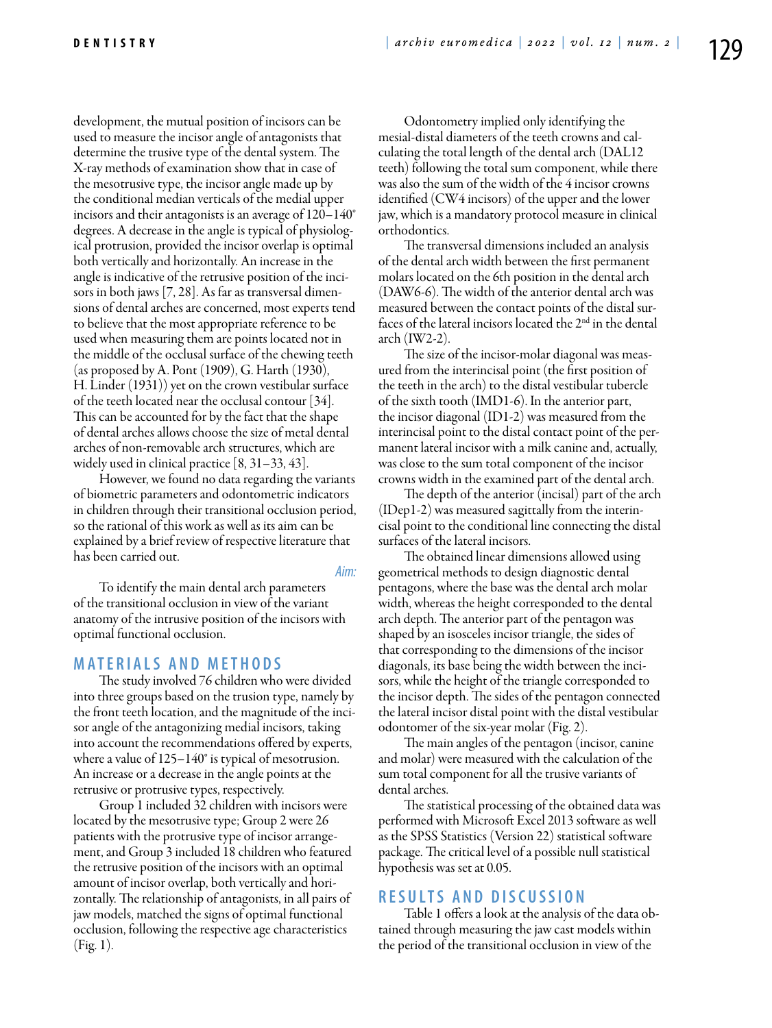development, the mutual position of incisors can be used to measure the incisor angle of antagonists that determine the trusive type of the dental system. The X-ray methods of examination show that in case of the mesotrusive type, the incisor angle made up by the conditional median verticals of the medial upper incisors and their antagonists is an average of 120–140° degrees. A decrease in the angle is typical of physiological protrusion, provided the incisor overlap is optimal both vertically and horizontally. An increase in the angle is indicative of the retrusive position of the incisors in both jaws [7, 28]. As far as transversal dimensions of dental arches are concerned, most experts tend to believe that the most appropriate reference to be used when measuring them are points located not in the middle of the occlusal surface of the chewing teeth (as proposed by A. Pont (1909), G. Harth (1930), H. Linder (1931)) yet on the crown vestibular surface of the teeth located near the occlusal contour [34]. This can be accounted for by the fact that the shape of dental arches allows choose the size of metal dental arches of non-removable arch structures, which are widely used in clinical practice [8, 31–33, 43].

However, we found no data regarding the variants of biometric parameters and odontometric indicators in children through their transitional occlusion period, so the rational of this work as well as its aim can be explained by a brief review of respective literature that has been carried out.

*Aim:* 

To identify the main dental arch parameters of the transitional occlusion in view of the variant anatomy of the intrusive position of the incisors with optimal functional occlusion.

# **M ATE R I A LS A N D MET H O D S**

The study involved 76 children who were divided into three groups based on the trusion type, namely by the front teeth location, and the magnitude of the incisor angle of the antagonizing medial incisors, taking into account the recommendations offered by experts, where a value of 125–140° is typical of mesotrusion. An increase or a decrease in the angle points at the retrusive or protrusive types, respectively.

Group 1 included 32 children with incisors were located by the mesotrusive type; Group 2 were 26 patients with the protrusive type of incisor arrangement, and Group 3 included 18 children who featured the retrusive position of the incisors with an optimal amount of incisor overlap, both vertically and horizontally. The relationship of antagonists, in all pairs of jaw models, matched the signs of optimal functional occlusion, following the respective age characteristics (Fig. 1).

Odontometry implied only identifying the mesial-distal diameters of the teeth crowns and calculating the total length of the dental arch (DAL12 teeth) following the total sum component, while there was also the sum of the width of the 4 incisor crowns identified (CW4 incisors) of the upper and the lower jaw, which is a mandatory protocol measure in clinical orthodontics.

The transversal dimensions included an analysis of the dental arch width between the first permanent molars located on the 6th position in the dental arch (DAW6-6). The width of the anterior dental arch was measured between the contact points of the distal surfaces of the lateral incisors located the 2<sup>nd</sup> in the dental arch (IW2-2).

The size of the incisor-molar diagonal was measured from the interincisal point (the first position of the teeth in the arch) to the distal vestibular tubercle of the sixth tooth (IMD1-6). In the anterior part, the incisor diagonal (ID1-2) was measured from the interincisal point to the distal contact point of the permanent lateral incisor with a milk canine and, actually, was close to the sum total component of the incisor crowns width in the examined part of the dental arch.

The depth of the anterior (incisal) part of the arch (IDep1-2) was measured sagittally from the interincisal point to the conditional line connecting the distal surfaces of the lateral incisors.

The obtained linear dimensions allowed using geometrical methods to design diagnostic dental pentagons, where the base was the dental arch molar width, whereas the height corresponded to the dental arch depth. The anterior part of the pentagon was shaped by an isosceles incisor triangle, the sides of that corresponding to the dimensions of the incisor diagonals, its base being the width between the incisors, while the height of the triangle corresponded to the incisor depth. The sides of the pentagon connected the lateral incisor distal point with the distal vestibular odontomer of the six-year molar (Fig. 2).

The main angles of the pentagon (incisor, canine and molar) were measured with the calculation of the sum total component for all the trusive variants of dental arches.

The statistical processing of the obtained data was performed with Microsoft Excel 2013 software as well as the SPSS Statistics (Version 22) statistical software package. The critical level of a possible null statistical hypothesis was set at 0.05.

# **R ES U LTS A N D D ISC U SSI ON**

Table 1 offers a look at the analysis of the data obtained through measuring the jaw cast models within the period of the transitional occlusion in view of the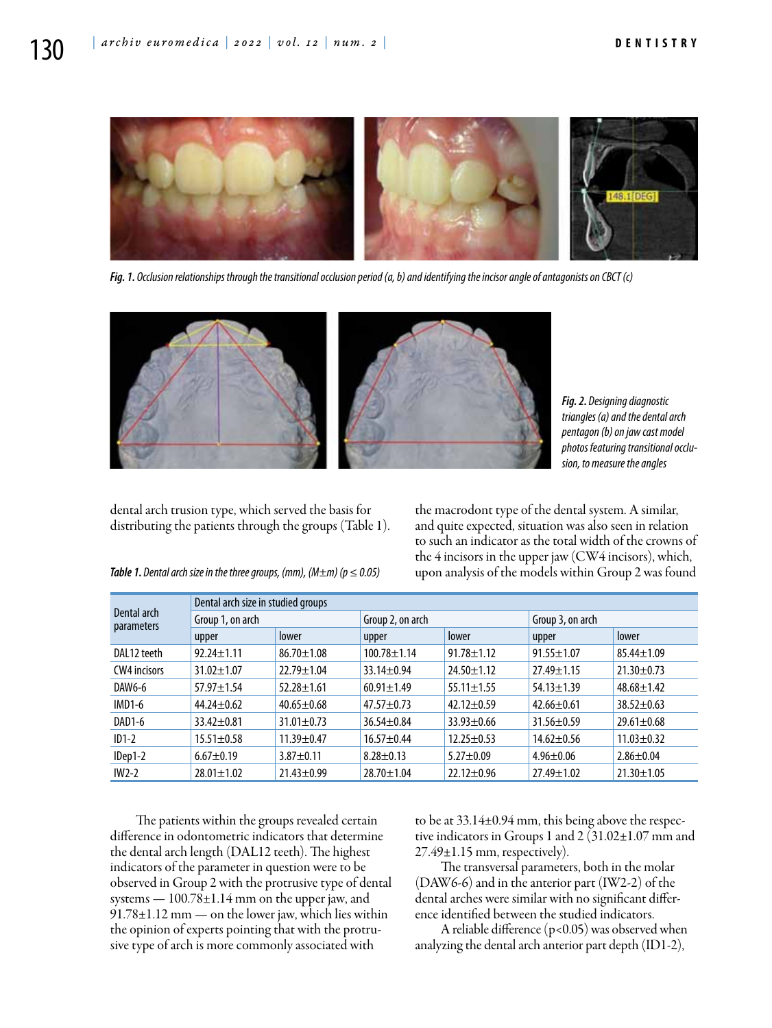

*Fig. 1. Occlusion relationships through the transitional occlusion period (а, b) and identifying the incisor angle of antagonists on CBCT (с)*



*Fig. 2. Designing diagnostic triangles (a) and the dental arch pentagon (b) on jaw cast model photos featuring transitional occlusion, to measure the angles*

dental arch trusion type, which served the basis for distributing the patients through the groups (Table 1).

the macrodont type of the dental system. A similar, and quite expected, situation was also seen in relation to such an indicator as the total width of the crowns of the 4 incisors in the upper jaw (CW4 incisors), which, *Table 1. Dental arch size in the three groups, (mm), (M±m) (p ≤ 0.05)* upon analysis of the models within Group 2 was found

| Dental arch<br><b>parameters</b> | Dental arch size in studied groups |                  |                   |                  |                  |                  |  |  |  |
|----------------------------------|------------------------------------|------------------|-------------------|------------------|------------------|------------------|--|--|--|
|                                  | Group 1, on arch                   |                  | Group 2, on arch  |                  | Group 3, on arch |                  |  |  |  |
|                                  | upper                              | lower            | upper             | lower            | upper            | lower            |  |  |  |
| DAL12 teeth                      | $92.24 \pm 1.11$                   | $86.70 \pm 1.08$ | $100.78 \pm 1.14$ | $91.78 \pm 1.12$ | $91.55 \pm 1.07$ | $85.44 \pm 1.09$ |  |  |  |
| <b>CW4</b> incisors              | $31.02 \pm 1.07$                   | $22.79 \pm 1.04$ | $33.14 \pm 0.94$  | $24.50 \pm 1.12$ | $27.49 \pm 1.15$ | $21.30 \pm 0.73$ |  |  |  |
| DAW6-6                           | $57.97 \pm 1.54$                   | $52.28 \pm 1.61$ | $60.91 \pm 1.49$  | $55.11 \pm 1.55$ | $54.13 \pm 1.39$ | $48.68 \pm 1.42$ |  |  |  |
| $IMD1-6$                         | $44.24 \pm 0.62$                   | $40.65 \pm 0.68$ | $47.57 \pm 0.73$  | $42.12 \pm 0.59$ | $42.66 \pm 0.61$ | $38.52 \pm 0.63$ |  |  |  |
| DAD1-6                           | $33.42 \pm 0.81$                   | $31.01 \pm 0.73$ | $36.54 \pm 0.84$  | $33.93 \pm 0.66$ | $31.56 \pm 0.59$ | $29.61 \pm 0.68$ |  |  |  |
| $ID1-2$                          | $15.51 \pm 0.58$                   | $11.39 + 0.47$   | $16.57 + 0.44$    | $12.25 \pm 0.53$ | $14.62 \pm 0.56$ | $11.03 \pm 0.32$ |  |  |  |
| IDep1-2                          | $6.67 \pm 0.19$                    | $3.87 \pm 0.11$  | $8.28 \pm 0.13$   | $5.27 \pm 0.09$  | $4.96 \pm 0.06$  | $2.86 \pm 0.04$  |  |  |  |
| $IW2-2$                          | $28.01 \pm 1.02$                   | $21.43 \pm 0.99$ | $28.70 \pm 1.04$  | $22.12 \pm 0.96$ | $27.49 \pm 1.02$ | $21.30 \pm 1.05$ |  |  |  |

The patients within the groups revealed certain difference in odontometric indicators that determine the dental arch length (DAL12 teeth). The highest indicators of the parameter in question were to be observed in Group 2 with the protrusive type of dental systems — 100.78±1.14 mm on the upper jaw, and 91.78±1.12 mm — on the lower jaw, which lies within the opinion of experts pointing that with the protrusive type of arch is more commonly associated with

to be at 33.14±0.94 mm, this being above the respective indicators in Groups 1 and 2  $(31.02 \pm 1.07 \text{ mm and})$  $27.49\pm1.15$  mm, respectively).

The transversal parameters, both in the molar (DAW6-6) and in the anterior part (IW2-2) of the dental arches were similar with no significant difference identified between the studied indicators.

A reliable difference  $(p<0.05)$  was observed when analyzing the dental arch anterior part depth (ID1-2),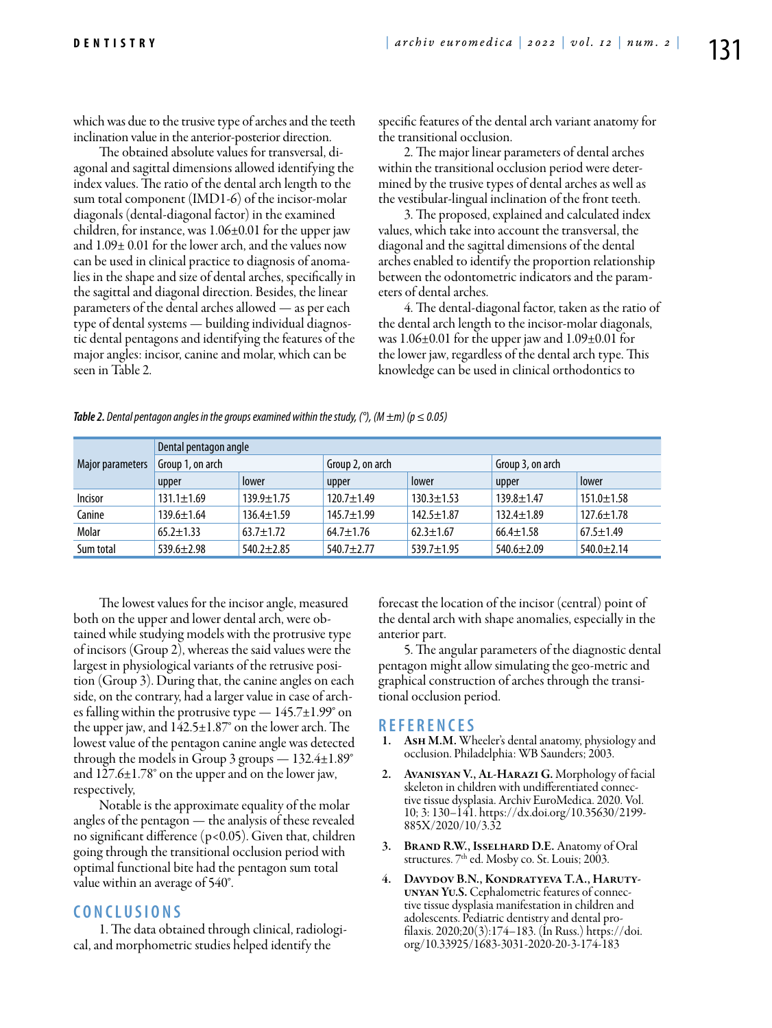which was due to the trusive type of arches and the teeth inclination value in the anterior-posterior direction.

The obtained absolute values for transversal, diagonal and sagittal dimensions allowed identifying the index values. The ratio of the dental arch length to the sum total component (IMD1-6) of the incisor-molar diagonals (dental-diagonal factor) in the examined children, for instance, was 1.06±0.01 for the upper jaw and 1.09± 0.01 for the lower arch, and the values now can be used in clinical practice to diagnosis of anomalies in the shape and size of dental arches, specifically in the sagittal and diagonal direction. Besides, the linear parameters of the dental arches allowed — as per each type of dental systems — building individual diagnostic dental pentagons and identifying the features of the major angles: incisor, canine and molar, which can be seen in Table 2.

specific features of the dental arch variant anatomy for the transitional occlusion.

2. The major linear parameters of dental arches within the transitional occlusion period were determined by the trusive types of dental arches as well as the vestibular-lingual inclination of the front teeth.

3. The proposed, explained and calculated index values, which take into account the transversal, the diagonal and the sagittal dimensions of the dental arches enabled to identify the proportion relationship between the odontometric indicators and the parameters of dental arches.

4. The dental-diagonal factor, taken as the ratio of the dental arch length to the incisor-molar diagonals, was 1.06±0.01 for the upper jaw and 1.09±0.01 for the lower jaw, regardless of the dental arch type. This knowledge can be used in clinical orthodontics to

| Major parameters | Dental pentagon angle |                  |                  |                  |                  |                  |  |  |  |
|------------------|-----------------------|------------------|------------------|------------------|------------------|------------------|--|--|--|
|                  | Group 1, on arch      |                  | Group 2, on arch |                  | Group 3, on arch |                  |  |  |  |
|                  | upper                 | lower            | upper            | lower            | upper            | lower            |  |  |  |
| Incisor          | $131.1 \pm 1.69$      | $139.9 \pm 1.75$ | $120.7 \pm 1.49$ | $130.3 \pm 1.53$ | $139.8 \pm 1.47$ | $151.0 \pm 1.58$ |  |  |  |
| Canine           | $139.6 \pm 1.64$      | $136.4 \pm 1.59$ | $145.7 \pm 1.99$ | $142.5 \pm 1.87$ | $132.4 \pm 1.89$ | $127.6 \pm 1.78$ |  |  |  |
| Molar            | $65.2 \pm 1.33$       | $63.7 \pm 1.72$  | $64.7 \pm 1.76$  | $62.3 \pm 1.67$  | $66.4 \pm 1.58$  | $67.5 \pm 1.49$  |  |  |  |
| Sum total        | $539.6 \pm 2.98$      | $540.2 \pm 2.85$ | $540.7 + 2.77$   | $539.7 \pm 1.95$ | $540.6 \pm 2.09$ | $540.0 \pm 2.14$ |  |  |  |

*Table 2. Dental pentagon angles in the groups examined within the study, (°), (M*  $\pm$ *m) (p*  $\leq$  *0.05)* 

The lowest values for the incisor angle, measured both on the upper and lower dental arch, were obtained while studying models with the protrusive type of incisors (Group 2), whereas the said values were the largest in physiological variants of the retrusive position (Group 3). During that, the canine angles on each side, on the contrary, had a larger value in case of arches falling within the protrusive type  $-145.7\pm1.99^{\circ}$  on the upper jaw, and 142.5±1.87° on the lower arch. The lowest value of the pentagon canine angle was detected through the models in Group 3 groups  $-132.4\pm1.89^{\circ}$ and 127.6±1.78° on the upper and on the lower jaw, respectively,

Notable is the approximate equality of the molar angles of the pentagon — the analysis of these revealed no significant difference (p<0.05). Given that, children going through the transitional occlusion period with optimal functional bite had the pentagon sum total value within an average of 540°.

# **C ON C L U SI ONS**

1. The data obtained through clinical, radiological, and morphometric studies helped identify the

forecast the location of the incisor (central) point of the dental arch with shape anomalies, especially in the anterior part.

5. The angular parameters of the diagnostic dental pentagon might allow simulating the geo-metric and graphical construction of arches through the transitional occlusion period.

- **<sup>R</sup> EFE <sup>R</sup> EN CES** 1. Ash M.M. Wheeler's dental anatomy, physiology and occlusion. Philadelphia: WB Saunders; 2003.
- 2. AVANISYAN V., AL-HARAZI G. Morphology of facial skeleton in children with undifferentiated connective tissue dysplasia. Archiv EuroMedica. 2020. Vol. 10; 3: 130–141. https://dx.doi.org/10.35630/2199- 885X/2020/10/3.32
- 3. Brand R.W., Isselhard D.E. Anatomy of Oral structures. 7<sup>th</sup> ed. Mosby co. St. Louis; 2003.
- 4. Davydov B.N., Kondratyeva T.A., Haruty-UNYAN YU.S. Cephalometric features of connective tissue dysplasia manifestation in children and adolescents. Pediatric dentistry and dental profilaxis.  $2020; 20(3): 174-183$ . (In Russ.) https://doi. org/10.33925/1683-3031-2020-20-3-174-183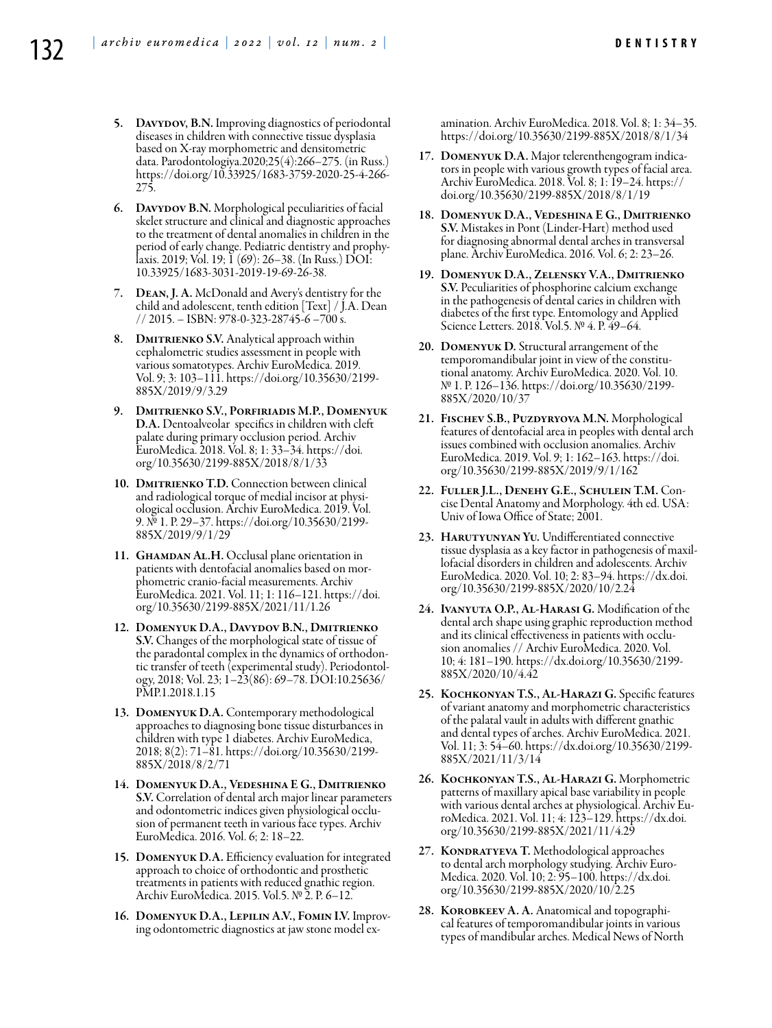- 5. DAVYDOV, B.N. Improving diagnostics of periodontal diseases in children with connective tissue dysplasia based on X-ray morphometric and densitometric data. Parodontologiya.2020;25(4):266–275. (in Russ.) https://doi.org/10.33925/1683-3759-2020-25-4-266- 275.
- 6. Davydov B.N. Morphological peculiarities of facial skelet structure and clinical and diagnostic approaches to the treatment of dental anomalies in children in the period of early change. Pediatric dentistry and prophylaxis. 2019; Vol. 19; 1 (69): 26–38. (In Russ.) DOI: 10.33925/1683-3031-2019-19-69-26-38.
- 7. Dean, J. A. McDonald and Avery's dentistry for the child and adolescent, tenth edition [Text] / J.A. Dean // 2015. – ISBN: 978-0-323-28745-6 –700 s.
- 8. DMITRIENKO S.V. Analytical approach within cephalometric studies assessment in people with various somatotypes. Archiv EuroMedica. 2019. Vol. 9; 3: 103–111. https://doi.org/10.35630/2199- 885X/2019/9/3.29
- 9. Dmitrienko S.V., Porfiriadis M.P., Domenyuk D.A. Dentoalveolar specifics in children with cleft palate during primary occlusion period. Archiv EuroMedica. 2018. Vol. 8; 1: 33–34. https://doi. org/10.35630/2199-885X/2018/8/1/33
- 10. DMITRIENKO T.D. Connection between clinical<br>and radiological torque of medial incisor at physiological occlusion. Archiv EuroMedica. 2019. Vol. 9. № 1. P. 29–37. https://doi.org/10.35630/2199- 885X/2019/9/1/29
- 11. GHAMDAN AL.H. Occlusal plane orientation in patients with dentofacial anomalies based on morphometric cranio-facial measurements. Archiv EuroMedica. 2021. Vol. 11; 1: 116–121. https://doi. org/10.35630/2199-885X/2021/11/1.26
- 12. Domenyuk D.A., Davydov B.N., Dmitrienko S.V. Changes of the morphological state of tissue of the paradontal complex in the dynamics of orthodon-<br>tic transfer of teeth (experimental study). Periodontol-<br>ogy, 2018; Vol. 23; 1–23(86): 69–78. DOI:10.25636/ PMP.1.2018.1.15
- 13. Domenyuk D.A. Contemporary methodological approaches to diagnosing bone tissue disturbances in children with type 1 diabetes. Archiv EuroMedica, 2018; 8(2): 71–81. https://doi.org/10.35630/2199- 885X/2018/8/2/71
- 14. Domenyuk D.A., Vedeshina E G., Dmitrienko S.V. Correlation of dental arch major linear parameters and odontometric indices given physiological occlusion of permanent teeth in various face types. Archiv EuroMedica. 2016. Vol. 6; 2: 18–22.
- 15. Domenyuk D.A. Efficiency evaluation for integrated approach to choice of orthodontic and prosthetic treatments in patients with reduced gnathic region. Archiv EuroMedica. 2015. Vol.5. № 2. Р. 6–12.
- 16. Domenyuk D.A., Lepilin А.V., Fomin I.V. Improving odontometric diagnostics at jaw stone model ex-

amination. Archiv EuroMedica. 2018. Vol. 8; 1: 34–35. https://doi.org/10.35630/2199-885X/2018/8/1/34

- 17. Domenyuk D.A. Major telerenthengogram indica- tors in people with various growth types of facial area. Archiv EuroMedica. 2018. Vol. 8; 1: 19–24. https:// doi.org/10.35630/2199-885X/2018/8/1/19
- 18. Domenyuk D.A., Vedeshina E G., Dmitrienko S.V. Mistakes in Pont (Linder-Hart) method used for diagnosing abnormal dental arches in transversal plane. Archiv EuroMedica. 2016. Vol. 6; 2: 23–26.
- 19. Domenyuk D.A., Zelensky V.A., Dmitrienko S.V. Peculiarities of phosphorine calcium exchange in the pathogenesis of dental caries in children with diabetes of the first type. Entomology and Applied Science Letters. 2018. Vol.5. № 4. P. 49–64.
- 20. Domenyuk D. Structural arrangement of the temporomandibular joint in view of the constitutional anatomy. Archiv EuroMedica. 2020. Vol. 10. № 1. Р. 126–136. https://doi.org/10.35630/2199- 885X/2020/10/37
- 21. Fischev S.B., Puzdyryova M.N. Morphological features of dentofacial area in peoples with dental arch issues combined with occlusion anomalies. Archiv EuroMedica. 2019. Vol. 9; 1: 162–163. https://doi. org/10.35630/2199-885X/2019/9/1/162
- 22. Fuller J.L., Denehy G.E., Schulein T.M. Con- cise Dental Anatomy and Morphology. 4th ed. USA: Univ of Iowa Office of State; 2001.
- 23. HARUTYUNYAN YU. Undifferentiated connective tissue dysplasia as a key factor in pathogenesis of maxil- lofacial disorders in children and adolescents. Archiv EuroMedica. 2020. Vol. 10; 2: 83–94. https://dx.doi. org/10.35630/2199-885X/2020/10/2.24
- 24. Ivanyuta O.P., Al-Harasi G. Modification of the dental arch shape using graphic reproduction method and its clinical effectiveness in patients with occlusion anomalies // Archiv EuroMedica. 2020. Vol. 10; 4: 181–190. https://dx.doi.org/10.35630/2199- 885X/2020/10/4.42
- 25. Kochkonyan T.S., Al-Harazi G. Specific features of variant anatomy and morphometric characteristics of the palatal vault in adults with different gnathic and dental types of arches. Archiv EuroMedica. 2021. Vol. 11; 3: 54–60. https://dx.doi.org/10.35630/2199- 885X/2021/11/3/14
- 26. Kochkonyan T.S., Al-Harazi G. Morphometric patterns of maxillary apical base variability in people with various dental arches at physiological. Archiv Eu- roMedica. 2021. Vol. 11; 4: 123–129. https://dx.doi. org/10.35630/2199-885X/2021/11/4.29
- 27. KONDRATYEVA T. Methodological approaches to dental arch morphology studying. Archiv Euro-Medica. 2020. Vol. 10; 2: 95–100. https://dx.doi. org/10.35630/2199-885X/2020/10/2.25
- 28. Korobkeev A. A. Anatomical and topographi- cal features of temporomandibular joints in various types of mandibular arches. Medical News of North